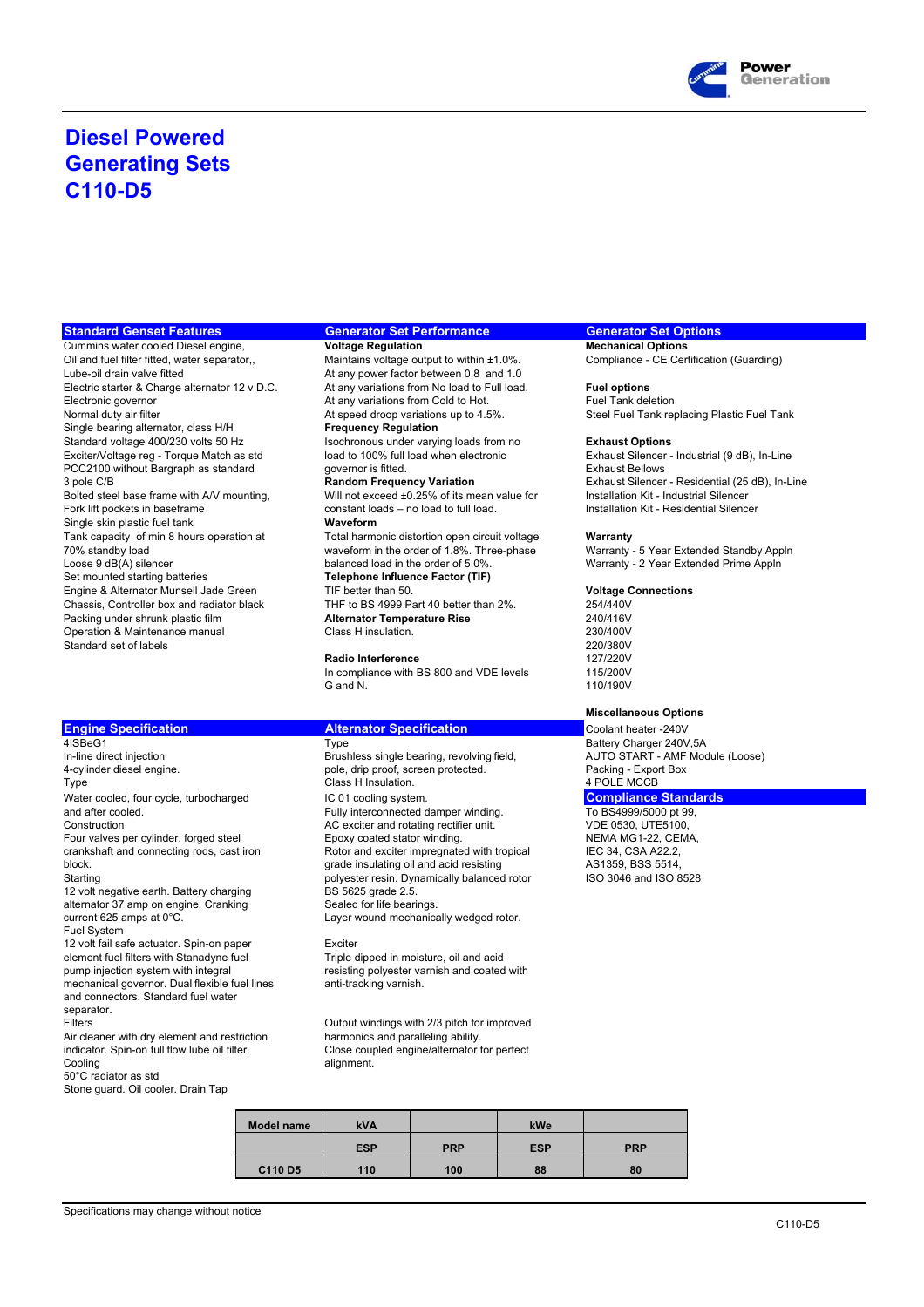

## **Diesel Powered Generating Sets C110-D5**

### **Standard Genset Features Generator Set Performance Generator Set Options**

**Cummins water cooled Diesel engine, Moltage Regulation Mechanical Options Mechanical Options** Lube-oil drain valve fitted<br>Electric starter & Charge alternator 12 v D.C. At any variations from No load to Full load. Electronic governor **At any variations from Cold to Hot.** At any variations from Cold to Hot.<br>At speed droop variations up to 4.5%. Single bearing alternator, class H/H<br>Standard voltage 400/230 volts 50 Hz PCC2100 without Bargraph as standard Single skin plastic fuel tank **Waveform**<br>Tank capacity of min 8 hours operation at **Waveform** Chassis, Controller box and radiator black THF to BS 4999 Part 40 better than 2%. 254/440V<br>Packing under shrunk plastic film **Alternator Temperature Rise** 240/416V Packing under shrunk plastic film **Alternator Temperature Rise** 240/416V<br>
Operation & Maintenance manual **Class Hinsulation** 230/400V Operation & Maintenance manual Class H insulation.<br>
Standard set of labels 220/380V<br>
220/380V Standard set of labels 220/380V<br>
Radio Interference 200/380V<br>
220/380V<br>
220/380V

Four valves per cylinder, forged steel 12 volt negative earth. Battery charging BS 5625 grade 2.5. alternator 37 amp on engine. Cranking Sealed for life bearings. current 625 amps at 0°C. Layer wound mechanically wedged rotor. Fuel System 12 volt fail safe actuator. Spin-on paper<br>
element fuel filters with Stanadyne fuel Triple dipped in moisture, oil and acid element fuel filters with Stanadyne fuel pump injection system with integral resisting polyester varnish and coated with mechanical governor. Dual flexible fuel lines anti-tracking varnish. and connectors. Standard fuel water separator. Filters Curput windings with 2/3 pitch for improved<br>Air cleaner with dry element and restriction<br>harmonics and paralleling ability. Air cleaner with dry element and restriction indicator. Spin-on full flow lube oil filter.

50°C radiator as std Stone guard. Oil cooler. Drain Tap

Oil and fuel filter fitted, water separator,, Maintains voltage output to within ±1.0%. Compliance - CE Certification (Guarding) Electric starter & Charge alternator 12 v D.C. At any variations from No load to Full load. **Fuel options**<br>Electronic governor **Fuel Tank deletion**<br>Fuel Tank deletion At speed droop variations up to 4.5%. Steel Fuel Tank replacing Plastic Fuel Tank<br>
Frequency Requiation **Isochronous under varying loads from no Exhaust Options**<br> **Ioad to 100% full load when electronic** Exhaust Silencer Exciter/Voltage reg - Torque Match as std load to 100% full load when electronic Exhaust Silencer - Industrial (9 dB), In-Line<br>
PCC2100 without Bargraph as standard overnor is fitted.<br>
Exhaust Bellows Bolted steel base frame with A/V mounting, Will not exceed ±0.25% of its mean value for Installation Kit - Industrial Silencer<br>Fork lift pockets in baseframe constant loads – no load to full load. Installation Kit - Reside constant loads – no load to full load. Tank capacity of min 8 hours operation at Total harmonic distortion open circuit voltage **Warranty**<br>70% standby load **Warranty waveform** in the order of 1.8%. Three-phase Warranty 70% standby load waveform in the order of 1.8%. Three-phase Warranty - 5 Year Extended Standby Appln<br>Loose 9 dB(A) silencer extended Prime Appln Loose 9 dB(A) silencer balanced load in the order of 5.0%.<br>
Set mounted starting batteries **Telephone Influence Factor (TIF)** Warranty - 2 Year Extended Prime Appln Set mounted starting batteries **Telephone Influence Factor (TIF)** Engine & Alternator Munsell Jade Green TIF better than 50. **Voltage Connections**

**Radio Interference**<br>In compliance with BS 800 and VDE levels 115/200V In compliance with BS 800 and VDE levels G and N.

### **Engine Specification Alternator Specification Coolant heater -240V Coolant heater -240V**

Brushless single bearing, revolving field, 4-cylinder diesel engine. pole, drip proof, screen protected. Packing - Export Box Type **Class H** Insulation. **Accord 1999 Class H** Insulation. 4 POLE MCCB Water cooled, four cycle, turbocharged **IC 01** cooling system.<br>
Fully interconnected damper winding. To BS4999/5000 pt 99. and after cooled.<br>
Fully interconnected damper winding.<br>
Fully interconnected damper winding.<br>
To BS4999/5000 pt 99,<br>
To BS4999/5000 pt 99,<br>
To BS4999/5000 pt 99,<br>
Construction<br>
AC exciter and rotating rectifier unit.<br>
VDE AC exciter and rotating rectifier unit. <br>
Epoxy coated stator winding. <br>
NEMA MG1-22, CEMA, crankshaft and connecting rods, cast iron Rotor and exciter impregnated with tropical IEC 34, CSA A22.2,<br>
plock arade insulating oil and acid resisting<br>
AS1359 BSS 5514 block. grade insulating oil and acid resisting AS1359, BSS 5514, polyester resin. Dynamically balanced rotor

indicator. Spin-on full flow lube oil filter. Colose coupled engine/alternator for perfect<br>Cooling alignment. alignment.

| Model name | <b>kVA</b> |            | kWe        |            |
|------------|------------|------------|------------|------------|
|            | <b>ESP</b> | <b>PRP</b> | <b>ESP</b> | <b>PRP</b> |
| C110 D5    | 110        | 100        | 88         | 80         |

3 pole C/B **Random Frequency Variation** Exhaust Silencer - Residential (25 dB), In-Line

110/190V

### **Miscellaneous Options**

AISBeG1 DECITED THE BATTLE DESCRIPTION OF THE BATTLE BATTLE DESCRIPTION BEGINSION BURGHER OF THE BATTLE BATTLE<br>41SBeG1 Battery Charger 240V,5A<br>1n-line direct injection Brushless single bearing, revolving field, AUTO START